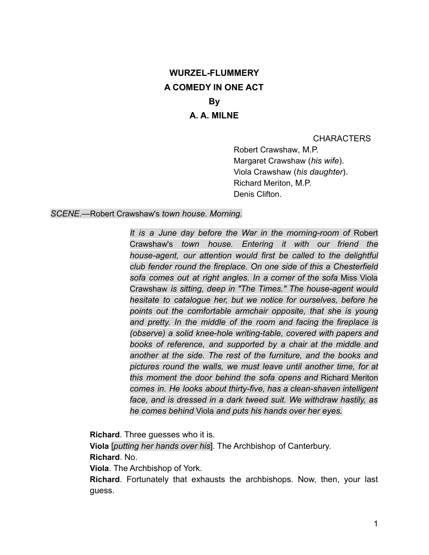# **WURZEL-FLUMMERY A COMEDY IN ONE ACT** By A. A. MILNE

**CHARACTERS** 

Robert Crawshaw, M.P. Margaret Crawshaw (his wife). Viola Crawshaw (his daughter). Richard Meriton, M.P. Denis Clifton.

#### SCENE.--- Robert Crawshaw's town house. Morning.

It is a June day before the War in the morning-room of Robert Crawshaw's town house. Entering it with our friend the house-agent, our attention would first be called to the delightful club fender round the fireplace. On one side of this a Chesterfield sofa comes out at right angles. In a corner of the sofa Miss Viola Crawshaw is sitting, deep in "The Times." The house-agent would hesitate to catalogue her, but we notice for ourselves, before he points out the comfortable armchair opposite, that she is young and pretty. In the middle of the room and facing the fireplace is (observe) a solid knee-hole writing-table, covered with papers and books of reference, and supported by a chair at the middle and another at the side. The rest of the furniture, and the books and pictures round the walls, we must leave until another time, for at this moment the door behind the sofa opens and Richard Meriton comes in. He looks about thirty-five, has a clean-shaven intelligent face, and is dressed in a dark tweed suit. We withdraw hastily, as he comes behind Viola and puts his hands over her eyes.

Richard. Three guesses who it is.

Viola *[putting her hands over his*]. The Archbishop of Canterbury. Richard, No.

Viola. The Archbishop of York.

Richard. Fortunately that exhausts the archbishops. Now, then, your last guess.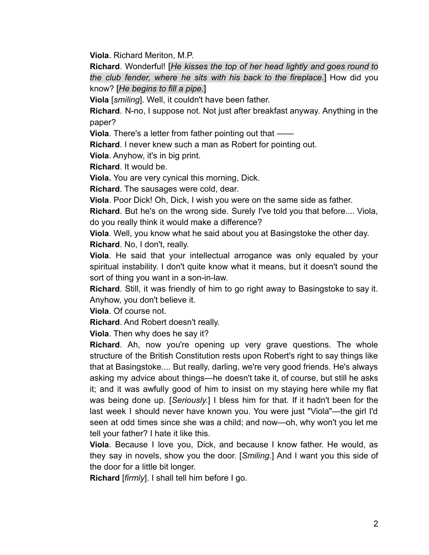Viola. Richard Meriton, M.P.

Richard. Wonderful! [He kisses the top of her head lightly and goes round to the club fender, where he sits with his back to the fireplace.] How did you know? [He begins to fill a pipe.]

Viola [smiling]. Well, it couldn't have been father.

Richard. N-no, I suppose not. Not just after breakfast anyway. Anything in the paper?

Viola. There's a letter from father pointing out that -

**Richard.** I never knew such a man as Robert for pointing out.

Viola. Anyhow, it's in big print.

**Richard.** It would be.

**Viola.** You are very cynical this morning, Dick.

Richard. The sausages were cold, dear.

Viola. Poor Dick! Oh, Dick, I wish you were on the same side as father.

**Richard**. But he's on the wrong side. Surely I've told you that before.... Viola, do you really think it would make a difference?

Viola. Well, you know what he said about you at Basingstoke the other day. Richard. No, I don't, really.

Viola. He said that your intellectual arrogance was only equaled by your spiritual instability. I don't quite know what it means, but it doesn't sound the sort of thing you want in a son-in-law.

Richard. Still, it was friendly of him to go right away to Basingstoke to say it. Anyhow, you don't believe it.

Viola. Of course not.

Richard. And Robert doesn't really.

Viola. Then why does he say it?

Richard. Ah, now you're opening up very grave questions. The whole structure of the British Constitution rests upon Robert's right to say things like that at Basingstoke.... But really, darling, we're very good friends. He's always asking my advice about things—he doesn't take it, of course, but still he asks it; and it was awfully good of him to insist on my staying here while my flat was being done up. [Seriously] I bless him for that. If it hadn't been for the last week I should never have known you. You were just "Viola"—the girl I'd seen at odd times since she was a child; and now-oh, why won't you let me tell your father? I hate it like this.

**Viola**. Because I love you, Dick, and because I know father. He would, as they say in novels, show you the door. [Smiling.] And I want you this side of the door for a little bit longer.

Richard [firmly]. I shall tell him before I go.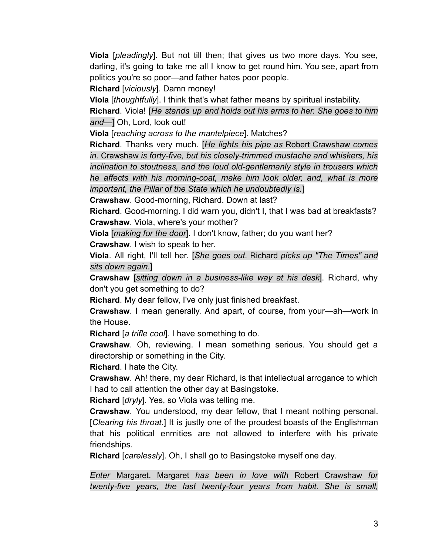Viola [pleadingly]. But not till then; that gives us two more days. You see, darling, it's going to take me all I know to get round him. You see, apart from politics you're so poor—and father hates poor people.

Richard [vicious/v]. Damn money!

Viola [thoughtfully]. I think that's what father means by spiritual instability.

Richard. Viola! [He stands up and holds out his arms to her. She goes to him and-] Oh, Lord, look out!

Viola [reaching across to the mantelpiece]. Matches?

**Richard.** Thanks very much. [He lights his pipe as Robert Crawshaw comes in. Crawshaw is forty-five, but his closely-trimmed mustache and whiskers, his inclination to stoutness, and the loud old-gentlemanly style in trousers which he affects with his morning-coat, make him look older, and, what is more important, the Pillar of the State which he undoubtedly is.]

Crawshaw. Good-morning, Richard. Down at last?

Richard. Good-morning. I did warn you, didn't I, that I was bad at breakfasts? Crawshaw. Viola, where's your mother?

Viola [*making for the door*]. I don't know, father; do you want her? **Crawshaw.** I wish to speak to her.

**Viola**. All right, I'll tell her. [She goes out. Richard picks up "The Times" and sits down again.]

**Crawshaw** [sitting down in a business-like way at his desk]. Richard, why don't you get something to do?

Richard. My dear fellow, I've only just finished breakfast.

**Crawshaw**. I mean generally. And apart, of course, from your—ah—work in the House.

Richard [a trifle cool]. I have something to do.

Crawshaw. Oh, reviewing. I mean something serious. You should get a directorship or something in the City.

Richard. I hate the City.

**Crawshaw.** Ah! there, my dear Richard, is that intellectual arrogance to which I had to call attention the other day at Basingstoke.

Richard [dryly]. Yes, so Viola was telling me.

Crawshaw. You understood, my dear fellow, that I meant nothing personal. [Clearing his throat.] It is justly one of the proudest boasts of the Englishman that his political enmities are not allowed to interfere with his private friendships.

**Richard** [*carelessly*]. Oh, I shall go to Basingstoke myself one day.

Enter Margaret. Margaret has been in love with Robert Crawshaw for twenty-five years, the last twenty-four years from habit. She is small,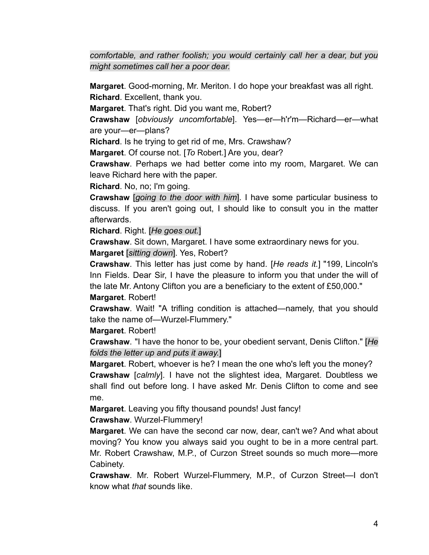comfortable, and rather foolish; you would certainly call her a dear, but you might sometimes call her a poor dear.

Margaret. Good-morning, Mr. Meriton. I do hope your breakfast was all right. Richard. Excellent, thank you.

Margaret. That's right. Did you want me, Robert?

Crawshaw [obviously uncomfortable]. Yes-er-h'r'm-Richard-er-what are your-er-plans?

**Richard.** Is he trying to get rid of me, Mrs. Crawshaw?

Margaret. Of course not. [To Robert.] Are you, dear?

Crawshaw. Perhaps we had better come into my room, Margaret. We can leave Richard here with the paper.

Richard. No, no; I'm going.

**Crawshaw** [going to the door with him]. I have some particular business to discuss. If you aren't going out, I should like to consult you in the matter afterwards.

Richard. Right. [He goes out.]

**Crawshaw**. Sit down, Margaret. I have some extraordinary news for you. Margaret [sitting down]. Yes, Robert?

**Crawshaw**. This letter has just come by hand. [He reads it.] "199, Lincoln's Inn Fields. Dear Sir, I have the pleasure to inform you that under the will of the late Mr. Antony Clifton you are a beneficiary to the extent of £50,000."

## Margaret. Robert!

Crawshaw. Wait! "A trifling condition is attached—namely, that you should take the name of-Wurzel-Flummery."

Margaret. Robert!

**Crawshaw**. "I have the honor to be, your obedient servant, Denis Clifton." [He folds the letter up and puts it away.]

Margaret. Robert, whoever is he? I mean the one who's left you the money? **Crawshaw** [calmly]. I have not the slightest idea. Margaret. Doubtless we shall find out before long. I have asked Mr. Denis Clifton to come and see me.

Margaret. Leaving you fifty thousand pounds! Just fancy!

Crawshaw. Wurzel-Flummery!

**Margaret**. We can have the second car now, dear, can't we? And what about moving? You know you always said you ought to be in a more central part. Mr. Robert Crawshaw, M.P., of Curzon Street sounds so much more—more Cabinety.

**Crawshaw.** Mr. Robert Wurzel-Flummery, M.P., of Curzon Street-I don't know what that sounds like.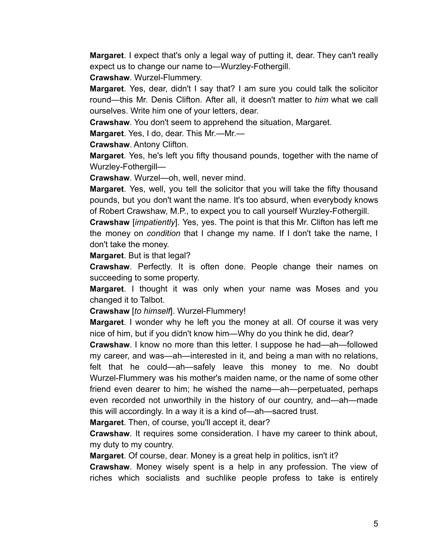Margaret. I expect that's only a legal way of putting it, dear. They can't really expect us to change our name to-Wurzley-Fothergill.

Crawshaw. Wurzel-Flummery.

Margaret. Yes, dear, didn't I say that? I am sure you could talk the solicitor round—this Mr. Denis Clifton. After all, it doesn't matter to him what we call ourselves. Write him one of your letters, dear.

**Crawshaw.** You don't seem to apprehend the situation, Margaret.

Margaret. Yes, I do, dear. This Mr.-Mr.-

**Crawshaw. Antony Clifton.** 

**Margaret.** Yes, he's left you fifty thousand pounds, together with the name of Wurzley-Fothergill-

Crawshaw. Wurzel-oh, well, never mind.

Margaret. Yes, well, you tell the solicitor that you will take the fifty thousand pounds, but you don't want the name. It's too absurd, when everybody knows of Robert Crawshaw, M.P., to expect you to call yourself Wurzley-Fothergill.

**Crawshaw** [*impatiently*]. Yes, yes. The point is that this Mr. Clifton has left me the money on condition that I change my name. If I don't take the name, I don't take the money.

**Margaret.** But is that legal?

Crawshaw. Perfectly. It is often done. People change their names on succeeding to some property.

Margaret. I thought it was only when your name was Moses and you changed it to Talbot.

Crawshaw [to himself]. Wurzel-Flummery!

**Margaret.** I wonder why he left you the money at all. Of course it was very nice of him, but if you didn't know him—Why do you think he did, dear?

**Crawshaw.** I know no more than this letter. I suppose he had—ah—followed my career, and was—ah—interested in it, and being a man with no relations, felt that he could—ah—safely leave this money to me. No doubt Wurzel-Flummery was his mother's maiden name, or the name of some other friend even dearer to him; he wished the name—ah—perpetuated, perhaps even recorded not unworthily in the history of our country, and—ah—made this will accordingly. In a way it is a kind of—ah—sacred trust.

Margaret. Then, of course, you'll accept it, dear?

Crawshaw. It requires some consideration. I have my career to think about, my duty to my country.

Margaret. Of course, dear. Money is a great help in politics, isn't it?

Crawshaw. Money wisely spent is a help in any profession. The view of riches which socialists and suchlike people profess to take is entirely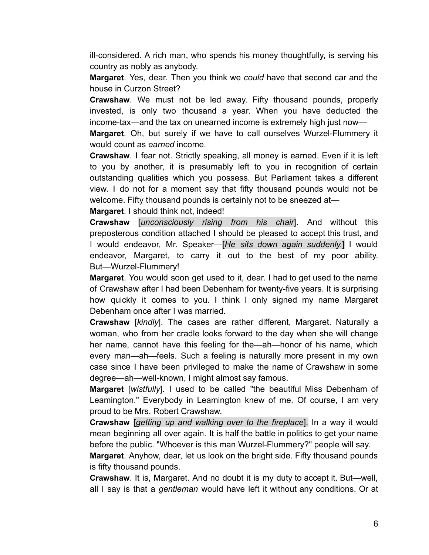ill-considered. A rich man, who spends his money thoughtfully, is serving his country as nobly as anybody.

**Margaret**. Yes, dear. Then you think we could have that second car and the house in Curzon Street?

Crawshaw. We must not be led away. Fifty thousand pounds, properly invested, is only two thousand a year. When you have deducted the income-tax—and the tax on unearned income is extremely high just now—

Margaret. Oh, but surely if we have to call ourselves Wurzel-Flummery it would count as earned income.

Crawshaw. I fear not. Strictly speaking, all money is earned. Even if it is left to you by another, it is presumably left to you in recognition of certain outstanding qualities which you possess. But Parliament takes a different view. I do not for a moment say that fifty thousand pounds would not be welcome. Fifty thousand pounds is certainly not to be sneezed at-

Margaret. I should think not, indeed!

**Crawshaw** [*unconsciously rising from his chair*]. And without this preposterous condition attached I should be pleased to accept this trust, and I would endeavor, Mr. Speaker-[He sits down again suddenly.] I would endeavor, Margaret, to carry it out to the best of my poor ability. But-Wurzel-Flummery!

Margaret. You would soon get used to it, dear. I had to get used to the name of Crawshaw after I had been Debenham for twenty-five years. It is surprising how quickly it comes to you. I think I only signed my name Margaret Debenham once after I was married.

**Crawshaw** [kind/y]. The cases are rather different, Margaret. Naturally a woman, who from her cradle looks forward to the day when she will change her name, cannot have this feeling for the—ah—honor of his name, which every man—ah—feels. Such a feeling is naturally more present in my own case since I have been privileged to make the name of Crawshaw in some degree—ah—well-known, I might almost say famous.

Margaret [wistfully]. I used to be called "the beautiful Miss Debenham of Leamington." Everybody in Leamington knew of me. Of course, I am very proud to be Mrs. Robert Crawshaw.

Crawshaw [getting up and walking over to the fireplace]. In a way it would mean beginning all over again. It is half the battle in politics to get your name before the public. "Whoever is this man Wurzel-Flummery?" people will say.

**Margaret.** Anyhow, dear, let us look on the bright side. Fifty thousand pounds is fifty thousand pounds.

Crawshaw. It is, Margaret. And no doubt it is my duty to accept it. But—well, all I say is that a gentleman would have left it without any conditions. Or at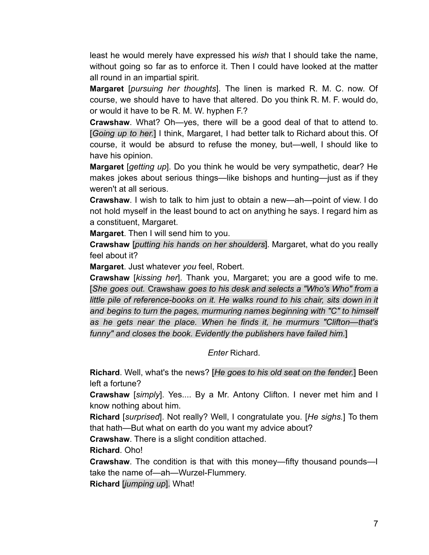least he would merely have expressed his *wish* that I should take the name, without going so far as to enforce it. Then I could have looked at the matter all round in an impartial spirit.

Margaret [pursuing her thoughts]. The linen is marked R. M. C. now. Of course, we should have to have that altered. Do you think R. M. F. would do, or would it have to be R. M. W. hyphen F.?

**Crawshaw**. What? Oh-yes, there will be a good deal of that to attend to. [Going up to her.] I think, Margaret, I had better talk to Richard about this. Of course, it would be absurd to refuse the money, but—well, I should like to have his opinion.

**Margaret** [getting up]. Do you think he would be very sympathetic, dear? He makes jokes about serious things—like bishops and hunting—just as if they weren't at all serious.

Crawshaw. I wish to talk to him just to obtain a new-ah-point of view. I do not hold myself in the least bound to act on anything he says. I regard him as a constituent, Margaret.

**Margaret.** Then I will send him to you.

**Crawshaw** [putting his hands on her shoulders]. Margaret, what do you really feel about it?

Margaret. Just whatever you feel, Robert.

Crawshaw [kissing her]. Thank you, Margaret; you are a good wife to me. [She goes out. Crawshaw goes to his desk and selects a "Who's Who" from a little pile of reference-books on it. He walks round to his chair, sits down in it and begins to turn the pages, murmuring names beginning with "C" to himself as he gets near the place. When he finds it, he murmurs "Clifton—that's funny" and closes the book. Evidently the publishers have failed him.]

**Enter Richard.** 

Richard. Well, what's the news? [He goes to his old seat on the fender.] Been left a fortune?

Crawshaw [simply]. Yes.... By a Mr. Antony Clifton. I never met him and I know nothing about him.

Richard [surprised]. Not really? Well, I congratulate you. [He sighs.] To them that hath—But what on earth do you want my advice about?

Crawshaw. There is a slight condition attached.

Richard, Oho!

**Crawshaw**. The condition is that with this money—fifty thousand pounds—I take the name of—ah—Wurzel-Flummery.

Richard *liumping up*]. What!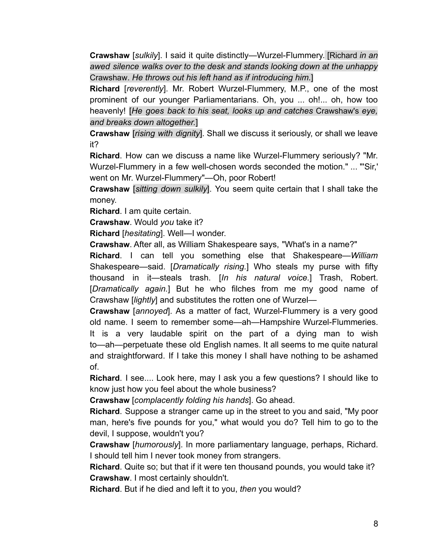**Crawshaw** [sulkily]. I said it quite distinctly—Wurzel-Flummery. [Richard in an awed silence walks over to the desk and stands looking down at the unhappy Crawshaw. He throws out his left hand as if introducing him.]

Richard [reverently]. Mr. Robert Wurzel-Flummery, M.P., one of the most prominent of our younger Parliamentarians. Oh, you ... oh!... oh, how too heavenly! [He goes back to his seat, looks up and catches Crawshaw's eye, and breaks down altogether.]

**Crawshaw** [rising with dignity]. Shall we discuss it seriously, or shall we leave it?

Richard. How can we discuss a name like Wurzel-Flummery seriously? "Mr. Wurzel-Flummery in a few well-chosen words seconded the motion." ... "'Sir,' went on Mr. Wurzel-Flummery"-Oh, poor Robert!

Crawshaw [sitting down sulkily]. You seem quite certain that I shall take the money.

Richard. I am quite certain.

Crawshaw. Would you take it?

Richard [hesitating]. Well-I wonder.

Crawshaw. After all, as William Shakespeare says, "What's in a name?"

Richard. I can tell you something else that Shakespeare-William Shakespeare—said. [Dramatically rising.] Who steals my purse with fifty thousand in it—steals trash. [In his natural voice.] Trash, Robert. [Dramatically again.] But he who filches from me my good name of Crawshaw [lightly] and substitutes the rotten one of Wurzel-

**Crawshaw** [annoyed]. As a matter of fact, Wurzel-Flummery is a very good old name. I seem to remember some—ah—Hampshire Wurzel-Flummeries. It is a very laudable spirit on the part of a dying man to wish to—ah—perpetuate these old English names. It all seems to me quite natural and straightforward. If I take this money I shall have nothing to be ashamed of.

Richard. I see.... Look here, may I ask you a few questions? I should like to know just how you feel about the whole business?

Crawshaw [complacently folding his hands]. Go ahead.

Richard. Suppose a stranger came up in the street to you and said, "My poor man, here's five pounds for you," what would you do? Tell him to go to the devil, I suppose, wouldn't you?

Crawshaw [humorously]. In more parliamentary language, perhaps, Richard. I should tell him I never took money from strangers.

Richard. Quite so; but that if it were ten thousand pounds, you would take it? Crawshaw. I most certainly shouldn't.

Richard. But if he died and left it to you, then you would?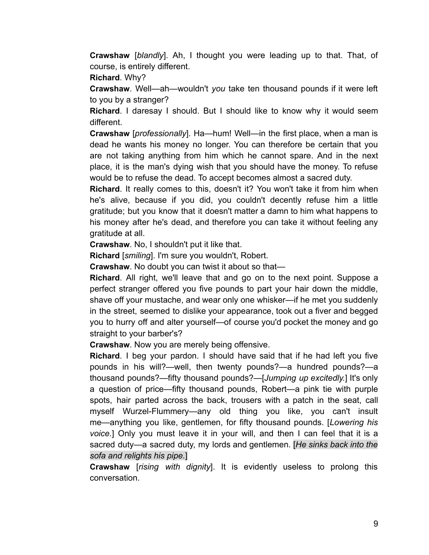Crawshaw [blandly]. Ah, I thought you were leading up to that. That, of course, is entirely different.

Richard. Why?

Crawshaw. Well-ah-wouldn't you take ten thousand pounds if it were left to you by a stranger?

Richard. I daresay I should. But I should like to know why it would seem different.

**Crawshaw** [professionally]. Ha—hum! Well—in the first place, when a man is dead he wants his money no longer. You can therefore be certain that you are not taking anything from him which he cannot spare. And in the next place, it is the man's dying wish that you should have the money. To refuse would be to refuse the dead. To accept becomes almost a sacred duty.

Richard. It really comes to this, doesn't it? You won't take it from him when he's alive, because if you did, you couldn't decently refuse him a little gratitude; but you know that it doesn't matter a damn to him what happens to his money after he's dead, and therefore you can take it without feeling any gratitude at all.

Crawshaw. No, I shouldn't put it like that.

Richard [smiling]. I'm sure you wouldn't, Robert.

Crawshaw. No doubt you can twist it about so that-

**Richard.** All right, we'll leave that and go on to the next point. Suppose a perfect stranger offered you five pounds to part your hair down the middle, shave off your mustache, and wear only one whisker—if he met you suddenly in the street, seemed to dislike your appearance, took out a fiver and begged you to hurry off and alter yourself—of course you'd pocket the money and go straight to your barber's?

**Crawshaw.** Now you are merely being offensive.

**Richard.** I beg your pardon. I should have said that if he had left you five pounds in his will?—well, then twenty pounds?—a hundred pounds?—a thousand pounds?—fifty thousand pounds?—[Jumping up excitedly.] It's only a question of price—fifty thousand pounds, Robert—a pink tie with purple spots, hair parted across the back, trousers with a patch in the seat, call myself Wurzel-Flummery—any old thing you like, you can't insult me—anything you like, gentlemen, for fifty thousand pounds. [Lowering his voice.] Only you must leave it in your will, and then I can feel that it is a sacred duty—a sacred duty, my lords and gentlemen. [He sinks back into the sofa and relights his pipe.]

Crawshaw [rising with dignity]. It is evidently useless to prolong this conversation.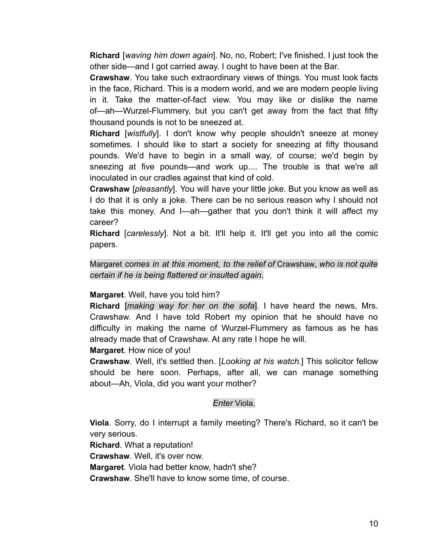**Richard** [waving him down again]. No, no, Robert; I've finished. I just took the other side—and I got carried away. I ought to have been at the Bar.

**Crawshaw.** You take such extraordinary views of things. You must look facts in the face, Richard. This is a modern world, and we are modern people living in it. Take the matter-of-fact view. You may like or dislike the name of—ah—Wurzel-Flummery, but you can't get away from the fact that fifty thousand pounds is not to be sneezed at.

Richard [wistfully]. I don't know why people shouldn't sneeze at money sometimes. I should like to start a society for sneezing at fifty thousand pounds. We'd have to begin in a small way, of course; we'd begin by sneezing at five pounds—and work up.... The trouble is that we're all inoculated in our cradles against that kind of cold.

Crawshaw [pleasantly]. You will have your little joke. But you know as well as I do that it is only a joke. There can be no serious reason why I should not take this money. And I—ah—gather that you don't think it will affect my career?

**Richard** [carelessly]. Not a bit. It'll help it. It'll get you into all the comic papers.

Margaret comes in at this moment, to the relief of Crawshaw, who is not quite certain if he is being flattered or insulted again.

Margaret. Well, have you told him?

Richard *[making way for her on the sofa]*. I have heard the news, Mrs. Crawshaw. And I have told Robert my opinion that he should have no difficulty in making the name of Wurzel-Flummery as famous as he has already made that of Crawshaw. At any rate I hope he will.

## Margaret. How nice of you!

**Crawshaw**. Well, it's settled then. [Looking at his watch.] This solicitor fellow should be here soon. Perhaps, after all, we can manage something about-Ah, Viola, did you want your mother?

#### Enter Viola.

Viola. Sorry, do I interrupt a family meeting? There's Richard, so it can't be very serious.

Richard. What a reputation!

Crawshaw. Well, it's over now.

Margaret. Viola had better know, hadn't she?

**Crawshaw.** She'll have to know some time, of course.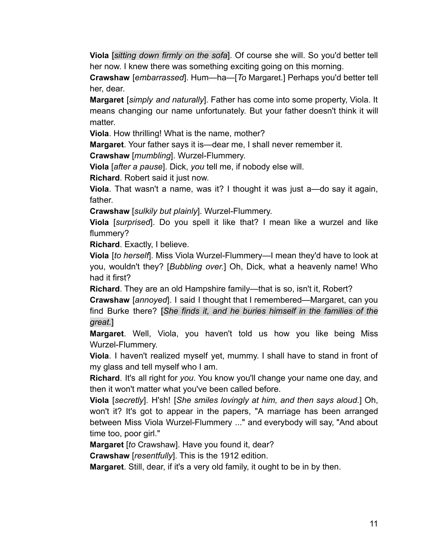Viola [sitting down firmly on the sofa]. Of course she will. So you'd better tell her now. I knew there was something exciting going on this morning.

Crawshaw [embarrassed]. Hum-ha-[To Margaret.] Perhaps you'd better tell her, dear.

**Margaret** [simply and naturally]. Father has come into some property, Viola. It means changing our name unfortunately. But your father doesn't think it will matter.

Viola. How thrilling! What is the name, mother?

Margaret. Your father says it is—dear me, I shall never remember it.

Crawshaw [mumbling]. Wurzel-Flummery.

Viola [after a pause]. Dick, you tell me, if nobody else will.

**Richard.** Robert said it just now.

Viola. That wasn't a name, was it? I thought it was just a—do say it again, father.

**Crawshaw** [sulkily but plainly]. Wurzel-Flummery.

Viola [surprised]. Do you spell it like that? I mean like a wurzel and like flummery?

Richard. Exactly, I believe.

**Viola** [to herself]. Miss Viola Wurzel-Flummery—I mean they'd have to look at you, wouldn't they? [Bubbling over.] Oh, Dick, what a heavenly name! Who had it first?

Richard. They are an old Hampshire family-that is so, isn't it, Robert?

Crawshaw [annoyed]. I said I thought that I remembered—Margaret, can you find Burke there? [She finds it, and he buries himself in the families of the great.]

Margaret. Well, Viola, you haven't told us how you like being Miss Wurzel-Flummery.

Viola. I haven't realized myself yet, mummy. I shall have to stand in front of my glass and tell myself who I am.

Richard. It's all right for you. You know you'll change your name one day, and then it won't matter what you've been called before.

Viola [secretly]. H'sh! [She smiles lovingly at him, and then says aloud.] Oh, won't it? It's got to appear in the papers, "A marriage has been arranged between Miss Viola Wurzel-Flummery ..." and everybody will say, "And about time too, poor girl."

Margaret [to Crawshaw]. Have you found it, dear?

**Crawshaw** [*resentfully*]. This is the 1912 edition.

**Margaret.** Still, dear, if it's a very old family, it ought to be in by then.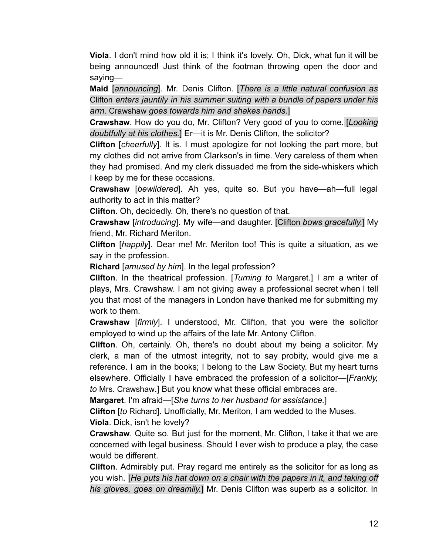Viola. I don't mind how old it is; I think it's lovely. Oh, Dick, what fun it will be being announced! Just think of the footman throwing open the door and saving-

Maid [announcing]. Mr. Denis Clifton. [There is a little natural confusion as Clifton enters jauntily in his summer suiting with a bundle of papers under his arm. Crawshaw goes towards him and shakes hands.]

**Crawshaw**. How do you do, Mr. Clifton? Very good of you to come. [Looking] doubtfully at his clothes.] Er-it is Mr. Denis Clifton, the solicitor?

**Clifton** [cheerfully]. It is. I must apologize for not looking the part more, but my clothes did not arrive from Clarkson's in time. Very careless of them when they had promised. And my clerk dissuaded me from the side-whiskers which I keep by me for these occasions.

Crawshaw [bewildered]. Ah yes, quite so. But you have—ah—full legal authority to act in this matter?

Clifton. Oh, decidedly. Oh, there's no question of that.

**Crawshaw** [introducing]. My wife—and daughter. [Clifton bows gracefully.] My friend, Mr. Richard Meriton.

**Clifton** [happily]. Dear me! Mr. Meriton too! This is quite a situation, as we say in the profession.

**Richard** [amused by him]. In the legal profession?

Clifton. In the theatrical profession. [Turning to Margaret.] I am a writer of plays, Mrs. Crawshaw. I am not giving away a professional secret when I tell you that most of the managers in London have thanked me for submitting my work to them.

**Crawshaw** [firmly]. I understood, Mr. Clifton, that you were the solicitor employed to wind up the affairs of the late Mr. Antony Clifton.

**Clifton.** Oh, certainly. Oh, there's no doubt about my being a solicitor. My clerk, a man of the utmost integrity, not to say probity, would give me a reference. I am in the books; I belong to the Law Society. But my heart turns elsewhere. Officially I have embraced the profession of a solicitor—[Frankly, to Mrs. Crawshaw.] But you know what these official embraces are.

**Margaret.** I'm afraid—[She turns to her husband for assistance.]

Clifton [to Richard]. Unofficially, Mr. Meriton, I am wedded to the Muses. Viola. Dick, isn't he lovely?

Crawshaw. Quite so. But just for the moment, Mr. Clifton, I take it that we are concerned with legal business. Should I ever wish to produce a play, the case would be different.

**Clifton.** Admirably put. Pray regard me entirely as the solicitor for as long as you wish. [He puts his hat down on a chair with the papers in it, and taking off his gloves, goes on dreamily.] Mr. Denis Clifton was superb as a solicitor. In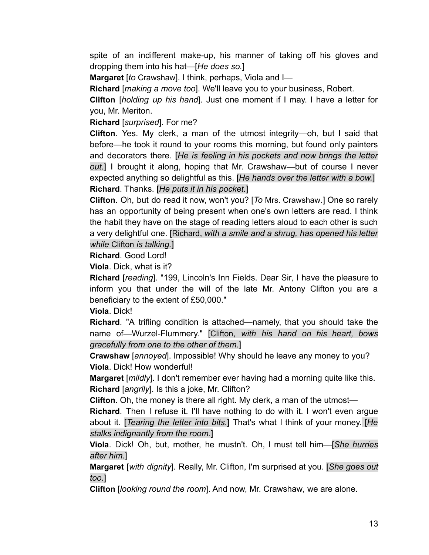spite of an indifferent make-up, his manner of taking off his gloves and dropping them into his hat—[He does so.]

Margaret [to Crawshaw]. I think, perhaps, Viola and I-

Richard [making a move too]. We'll leave you to your business, Robert.

Clifton [holding up his hand]. Just one moment if I may. I have a letter for you, Mr. Meriton.

Richard [surprised]. For me?

**Clifton.** Yes. My clerk, a man of the utmost integrity—oh, but I said that before—he took it round to your rooms this morning, but found only painters and decorators there. [He is feeling in his pockets and now brings the letter out.] I brought it along, hoping that Mr. Crawshaw—but of course I never expected anything so delightful as this. [He hands over the letter with a bow.] Richard. Thanks. [He puts it in his pocket.]

Clifton. Oh, but do read it now, won't you? [To Mrs. Crawshaw.] One so rarely has an opportunity of being present when one's own letters are read. I think the habit they have on the stage of reading letters aloud to each other is such a very delightful one. [Richard, with a smile and a shrug, has opened his letter while Clifton is talking.]

## Richard. Good Lord!

Viola. Dick, what is it?

Richard [reading]. "199, Lincoln's Inn Fields. Dear Sir, I have the pleasure to inform you that under the will of the late Mr. Antony Clifton you are a beneficiary to the extent of £50,000."

Viola. Dick!

**Richard.** "A trifling condition is attached—namely, that you should take the name of—Wurzel-Flummery." [Clifton, with his hand on his heart, bows gracefully from one to the other of them.]

Crawshaw [annoved]. Impossible! Why should he leave any money to you? Viola. Dick! How wonderful!

Margaret [mildly]. I don't remember ever having had a morning quite like this. Richard [angrily]. Is this a joke, Mr. Clifton?

**Clifton**. Oh, the money is there all right. My clerk, a man of the utmost—

**Richard.** Then I refuse it. I'll have nothing to do with it. I won't even argue about it. [Tearing the letter into bits.] That's what I think of your money. [He stalks indignantly from the room.]

Viola. Dick! Oh, but, mother, he mustn't. Oh, I must tell him-[She hurries after him.]

Margaret [with dignity]. Really, Mr. Clifton, I'm surprised at you. [She goes out too.1

Clifton *[looking round the room]*. And now, Mr. Crawshaw, we are alone.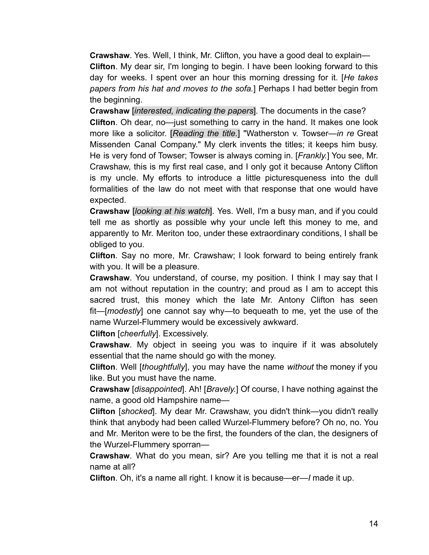**Crawshaw**. Yes. Well, I think, Mr. Clifton, you have a good deal to explain-Clifton. My dear sir, I'm longing to begin. I have been looking forward to this day for weeks. I spent over an hour this morning dressing for it. [He takes papers from his hat and moves to the sofa.] Perhaps I had better begin from the beginning.

Crawshaw *linterested, indicating the papers*]. The documents in the case? **Clifton.** Oh dear, no—just something to carry in the hand. It makes one look more like a solicitor. [Reading the title.] "Watherston v. Towser-in re Great Missenden Canal Company." My clerk invents the titles; it keeps him busy. He is very fond of Towser; Towser is always coming in. [Frankly.] You see, Mr. Crawshaw, this is my first real case, and I only got it because Antony Clifton is my uncle. My efforts to introduce a little picturesqueness into the dull formalities of the law do not meet with that response that one would have expected.

Crawshaw *[looking at his watch*]. Yes. Well, I'm a busy man, and if you could tell me as shortly as possible why your uncle left this money to me, and apparently to Mr. Meriton too, under these extraordinary conditions, I shall be obliged to you.

Clifton. Say no more, Mr. Crawshaw; I look forward to being entirely frank with you. It will be a pleasure.

Crawshaw. You understand, of course, my position. I think I may say that I am not without reputation in the country; and proud as I am to accept this sacred trust, this money which the late Mr. Antony Clifton has seen fit—[modestly] one cannot say why—to bequeath to me, yet the use of the name Wurzel-Flummery would be excessively awkward.

Clifton [cheerfully]. Excessively.

**Crawshaw**. My object in seeing you was to inquire if it was absolutely essential that the name should go with the money.

Clifton. Well [thoughtfully], you may have the name without the money if you like. But you must have the name.

Crawshaw [disappointed]. Ah! [Bravely.] Of course, I have nothing against the name, a good old Hampshire name-

Clifton [shocked]. My dear Mr. Crawshaw, you didn't think—you didn't really think that anybody had been called Wurzel-Flummery before? Oh no, no. You and Mr. Meriton were to be the first, the founders of the clan, the designers of the Wurzel-Flummery sporran-

Crawshaw. What do you mean, sir? Are you telling me that it is not a real name at all?

Clifton. Oh, it's a name all right. I know it is because-er-I made it up.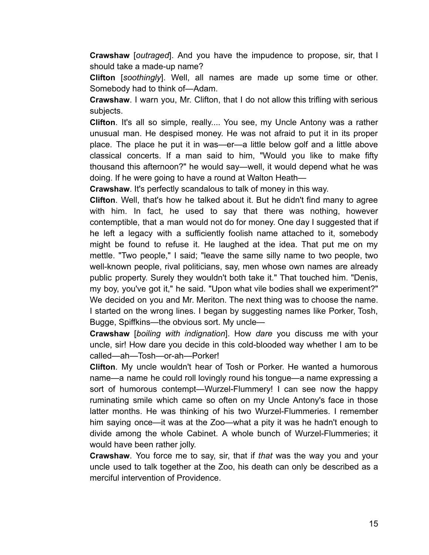**Crawshaw** [outraged]. And you have the impudence to propose, sir, that I should take a made-up name?

Clifton [soothingly]. Well, all names are made up some time or other. Somebody had to think of-Adam.

Crawshaw. I warn you, Mr. Clifton, that I do not allow this trifling with serious subjects.

Clifton. It's all so simple, really.... You see, my Uncle Antony was a rather unusual man. He despised money. He was not afraid to put it in its proper place. The place he put it in was—er—a little below golf and a little above classical concerts. If a man said to him, "Would you like to make fifty thousand this afternoon?" he would say—well, it would depend what he was doing. If he were going to have a round at Walton Heath-

Crawshaw. It's perfectly scandalous to talk of money in this way.

Clifton. Well, that's how he talked about it. But he didn't find many to agree with him. In fact, he used to say that there was nothing, however contemptible, that a man would not do for money. One day I suggested that if he left a legacy with a sufficiently foolish name attached to it, somebody might be found to refuse it. He laughed at the idea. That put me on my mettle. "Two people," I said; "leave the same silly name to two people, two well-known people, rival politicians, say, men whose own names are already public property. Surely they wouldn't both take it." That touched him. "Denis, my boy, you've got it," he said. "Upon what vile bodies shall we experiment?" We decided on you and Mr. Meriton. The next thing was to choose the name. I started on the wrong lines. I began by suggesting names like Porker, Tosh, Bugge, Spiffkins—the obvious sort. My uncle—

Crawshaw [boiling with indignation]. How dare you discuss me with your uncle, sir! How dare you decide in this cold-blooded way whether I am to be called-ah-Tosh-or-ah-Porker!

Clifton. My uncle wouldn't hear of Tosh or Porker. He wanted a humorous name—a name he could roll lovingly round his tongue—a name expressing a sort of humorous contempt—Wurzel-Flummery! I can see now the happy ruminating smile which came so often on my Uncle Antony's face in those latter months. He was thinking of his two Wurzel-Flummeries. I remember him saying once—it was at the Zoo—what a pity it was he hadn't enough to divide among the whole Cabinet. A whole bunch of Wurzel-Flummeries; it would have been rather jolly.

**Crawshaw**. You force me to say, sir, that if that was the way you and your uncle used to talk together at the Zoo, his death can only be described as a merciful intervention of Providence.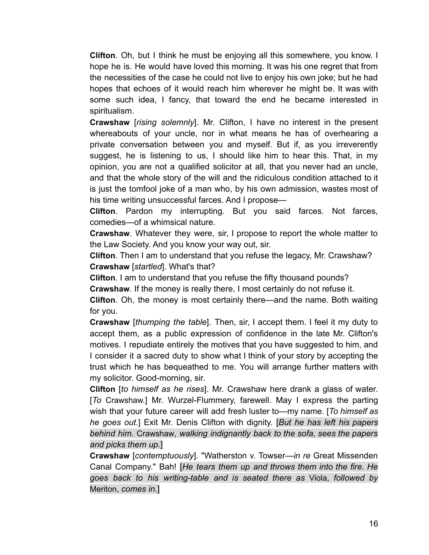**Clifton.** Oh, but I think he must be enjoying all this somewhere, you know. I hope he is. He would have loved this morning. It was his one regret that from the necessities of the case he could not live to enjoy his own joke; but he had hopes that echoes of it would reach him wherever he might be. It was with some such idea, I fancy, that toward the end he became interested in spiritualism.

**Crawshaw** [rising solemnly]. Mr. Clifton, I have no interest in the present whereabouts of your uncle, nor in what means he has of overhearing a private conversation between you and myself. But if, as you irreverently suggest, he is listening to us, I should like him to hear this. That, in my opinion, you are not a qualified solicitor at all, that you never had an uncle, and that the whole story of the will and the ridiculous condition attached to it is just the tomfool joke of a man who, by his own admission, wastes most of his time writing unsuccessful farces. And I propose—

Clifton. Pardon my interrupting. But you said farces. Not farces, comedies-of a whimsical nature.

**Crawshaw.** Whatever they were, sir, I propose to report the whole matter to the Law Society. And you know your way out, sir.

Clifton. Then I am to understand that you refuse the legacy, Mr. Crawshaw? Crawshaw [startled]. What's that?

Clifton. I am to understand that you refuse the fifty thousand pounds?

Crawshaw. If the money is really there, I most certainly do not refuse it.

**Clifton**. Oh, the money is most certainly there—and the name. Both waiting for you.

**Crawshaw** [thumping the table]. Then, sir, I accept them. I feel it my duty to accept them, as a public expression of confidence in the late Mr. Clifton's motives. I repudiate entirely the motives that you have suggested to him, and I consider it a sacred duty to show what I think of your story by accepting the trust which he has bequeathed to me. You will arrange further matters with my solicitor. Good-morning, sir.

Clifton [to himself as he rises]. Mr. Crawshaw here drank a glass of water. [To Crawshaw.] Mr. Wurzel-Flummery, farewell. May I express the parting wish that your future career will add fresh luster to—my name. [To himself as he goes out.] Exit Mr. Denis Clifton with dignity. [But he has left his papers behind him. Crawshaw, walking indignantly back to the sofa, sees the papers and picks them up.]

Crawshaw [contemptuously]. "Watherston v. Towser-in re Great Missenden Canal Company." Bah! [He tears them up and throws them into the fire. He goes back to his writing-table and is seated there as Viola, followed by Meriton, comes in.]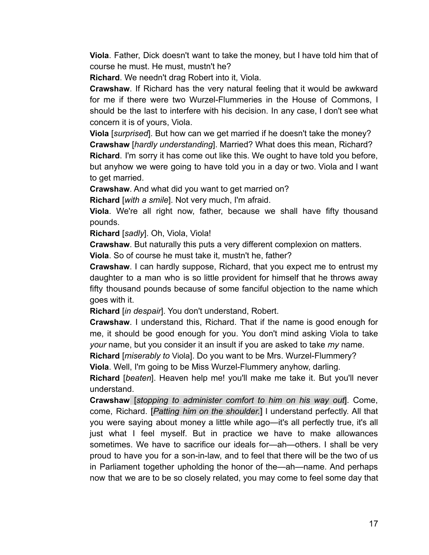Viola. Father, Dick doesn't want to take the money, but I have told him that of course he must. He must, mustn't he?

Richard. We needn't drag Robert into it. Viola.

**Crawshaw.** If Richard has the very natural feeling that it would be awkward for me if there were two Wurzel-Flummeries in the House of Commons, I should be the last to interfere with his decision. In any case, I don't see what concern it is of yours, Viola.

Viola [surprised]. But how can we get married if he doesn't take the money? Crawshaw [hardly understanding]. Married? What does this mean, Richard?

Richard. I'm sorry it has come out like this. We ought to have told you before, but anyhow we were going to have told you in a day or two. Viola and I want to get married.

**Crawshaw.** And what did you want to get married on?

Richard [with a smile]. Not very much, I'm afraid.

Viola. We're all right now, father, because we shall have fifty thousand pounds.

Richard [sadly]. Oh, Viola, Viola!

Crawshaw. But naturally this puts a very different complexion on matters.

Viola. So of course he must take it, mustn't he, father?

Crawshaw. I can hardly suppose, Richard, that you expect me to entrust my daughter to a man who is so little provident for himself that he throws away fifty thousand pounds because of some fanciful objection to the name which goes with it.

Richard [in despair]. You don't understand, Robert.

**Crawshaw.** I understand this, Richard. That if the name is good enough for me, it should be good enough for you. You don't mind asking Viola to take your name, but you consider it an insult if you are asked to take my name.

Richard [miserably to Viola]. Do you want to be Mrs. Wurzel-Flummery?

Viola. Well, I'm going to be Miss Wurzel-Flummery anyhow, darling.

Richard [beaten]. Heaven help me! you'll make me take it. But you'll never understand.

Crawshaw [stopping to administer comfort to him on his way out]. Come, come, Richard. [Patting him on the shoulder.] I understand perfectly. All that you were saying about money a little while ago—it's all perfectly true, it's all just what I feel myself. But in practice we have to make allowances sometimes. We have to sacrifice our ideals for-ah-others. I shall be very proud to have you for a son-in-law, and to feel that there will be the two of us in Parliament together upholding the honor of the—ah—name. And perhaps now that we are to be so closely related, you may come to feel some day that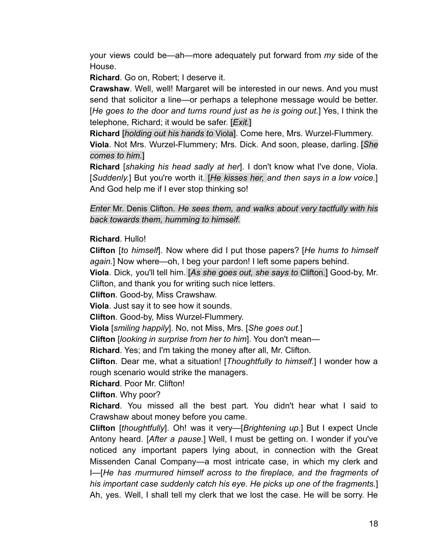your views could be—ah—more adequately put forward from my side of the House.

Richard. Go on, Robert: I deserve it.

Crawshaw. Well, well! Margaret will be interested in our news. And you must send that solicitor a line—or perhaps a telephone message would be better. [He goes to the door and turns round just as he is going out.] Yes, I think the telephone, Richard; it would be safer. [Exit.]

Richard [holding out his hands to Viola]. Come here, Mrs. Wurzel-Flummery. Viola. Not Mrs. Wurzel-Flummery; Mrs. Dick. And soon, please, darling. [She comes to him.]

**Richard** [shaking his head sadly at her]. I don't know what I've done, Viola. [Suddenly.] But you're worth it. [He kisses her, and then says in a low voice.] And God help me if I ever stop thinking so!

Enter Mr. Denis Clifton. He sees them, and walks about very tactfully with his back towards them, humming to himself.

Richard. Hullo!

Clifton [to himself]. Now where did I put those papers? [He hums to himself again.] Now where—oh, I beg your pardon! I left some papers behind.

Viola. Dick, you'll tell him. [As she goes out, she says to Clifton.] Good-by, Mr. Clifton, and thank you for writing such nice letters.

Clifton. Good-by, Miss Crawshaw.

Viola. Just say it to see how it sounds.

Clifton. Good-by, Miss Wurzel-Flummery.

Viola [smiling happily]. No, not Miss, Mrs. [She goes out.]

Clifton [looking in surprise from her to him]. You don't mean-

Richard. Yes; and I'm taking the money after all, Mr. Clifton.

Clifton. Dear me, what a situation! [Thoughtfully to himself.] I wonder how a rough scenario would strike the managers.

Richard, Poor Mr. Clifton!

Clifton. Why poor?

Richard. You missed all the best part. You didn't hear what I said to Crawshaw about money before you came.

Clifton [thoughtfully]. Oh! was it very-[Brightening up.] But I expect Uncle Antony heard. [After a pause.] Well, I must be getting on. I wonder if you've noticed any important papers lying about, in connection with the Great Missenden Canal Company—a most intricate case, in which my clerk and I-IHe has murmured himself across to the fireplace, and the fragments of his important case suddenly catch his eye. He picks up one of the fragments. Ah, yes. Well, I shall tell my clerk that we lost the case. He will be sorry. He